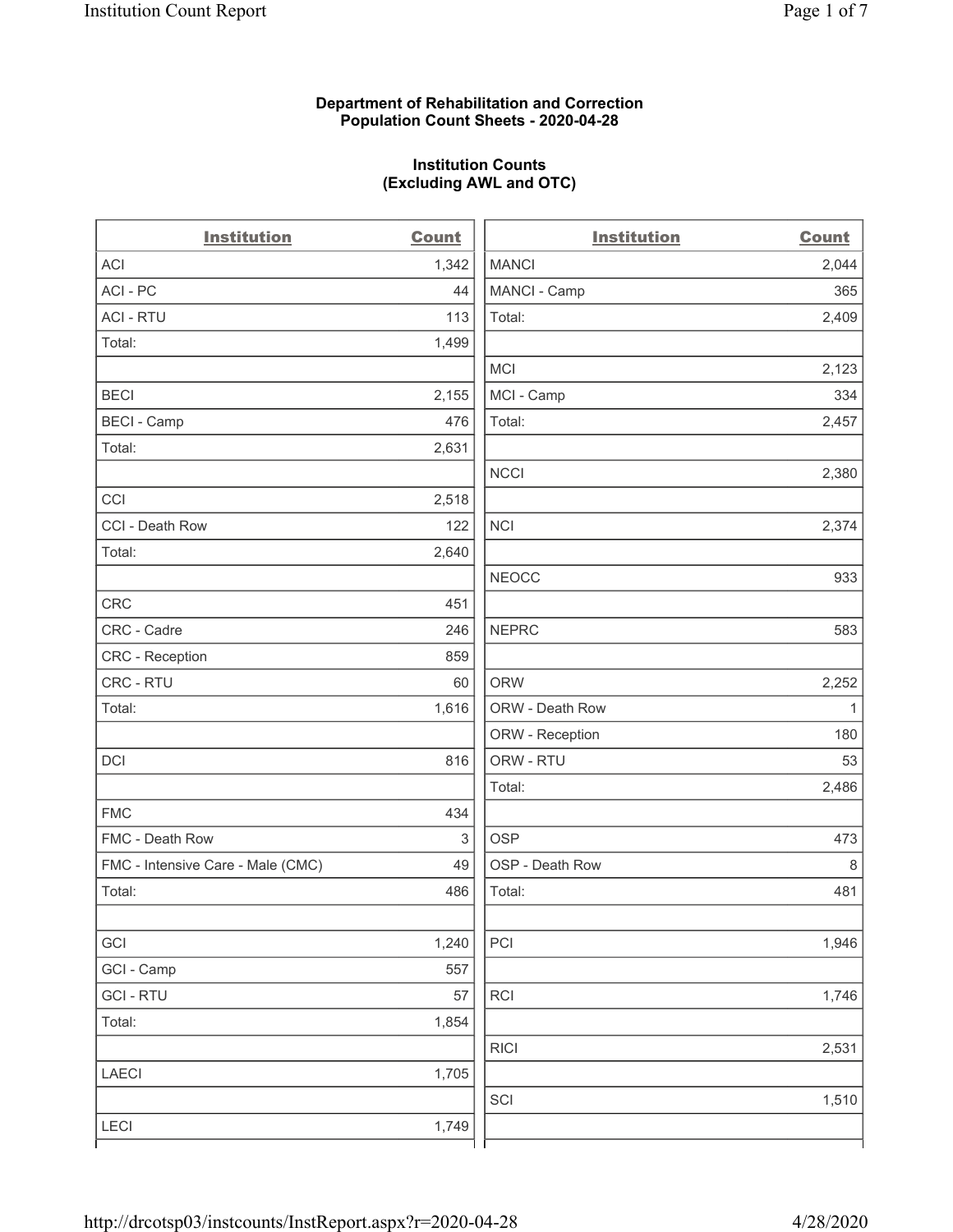### **Department of Rehabilitation and Correction Population Count Sheets - 2020-04-28**

# **Institution Counts (Excluding AWL and OTC)**

. .

| <b>Institution</b>                | <b>Count</b>              | <b>Institution</b> | Count        |
|-----------------------------------|---------------------------|--------------------|--------------|
| <b>ACI</b>                        | 1,342                     | <b>MANCI</b>       | 2,044        |
| ACI-PC                            | 44                        | MANCI - Camp       | 365          |
| <b>ACI - RTU</b>                  | 113                       | Total:             | 2,409        |
| Total:                            | 1,499                     |                    |              |
|                                   |                           | MCI                | 2,123        |
| <b>BECI</b>                       | 2,155                     | MCI - Camp         | 334          |
| <b>BECI - Camp</b>                | 476                       | Total:             | 2,457        |
| Total:                            | 2,631                     |                    |              |
|                                   |                           | <b>NCCI</b>        | 2,380        |
| CCI                               | 2,518                     |                    |              |
| CCI - Death Row                   | 122                       | <b>NCI</b>         | 2,374        |
| Total:                            | 2,640                     |                    |              |
|                                   |                           | <b>NEOCC</b>       | 933          |
| <b>CRC</b>                        | 451                       |                    |              |
| CRC - Cadre                       | 246                       | <b>NEPRC</b>       | 583          |
| CRC - Reception                   | 859                       |                    |              |
| CRC - RTU                         | 60                        | <b>ORW</b>         | 2,252        |
| Total:                            | 1,616                     | ORW - Death Row    | $\mathbf{1}$ |
|                                   |                           | ORW - Reception    | 180          |
| DCI                               | 816                       | ORW - RTU          | 53           |
|                                   |                           | Total:             | 2,486        |
| <b>FMC</b>                        | 434                       |                    |              |
| FMC - Death Row                   | $\ensuremath{\mathsf{3}}$ | <b>OSP</b>         | 473          |
| FMC - Intensive Care - Male (CMC) | 49                        | OSP - Death Row    | 8            |
| Total:                            | 486                       | Total:             | 481          |
|                                   |                           |                    |              |
| GCI                               | 1,240                     | PCI                | 1,946        |
| GCI - Camp                        | 557                       |                    |              |
| <b>GCI-RTU</b>                    | 57                        | <b>RCI</b>         | 1,746        |
| Total:                            | 1,854                     |                    |              |
|                                   |                           | <b>RICI</b>        | 2,531        |
| <b>LAECI</b>                      | 1,705                     |                    |              |
|                                   |                           | SCI                | 1,510        |
| <b>LECI</b>                       | 1,749                     |                    |              |
|                                   |                           |                    |              |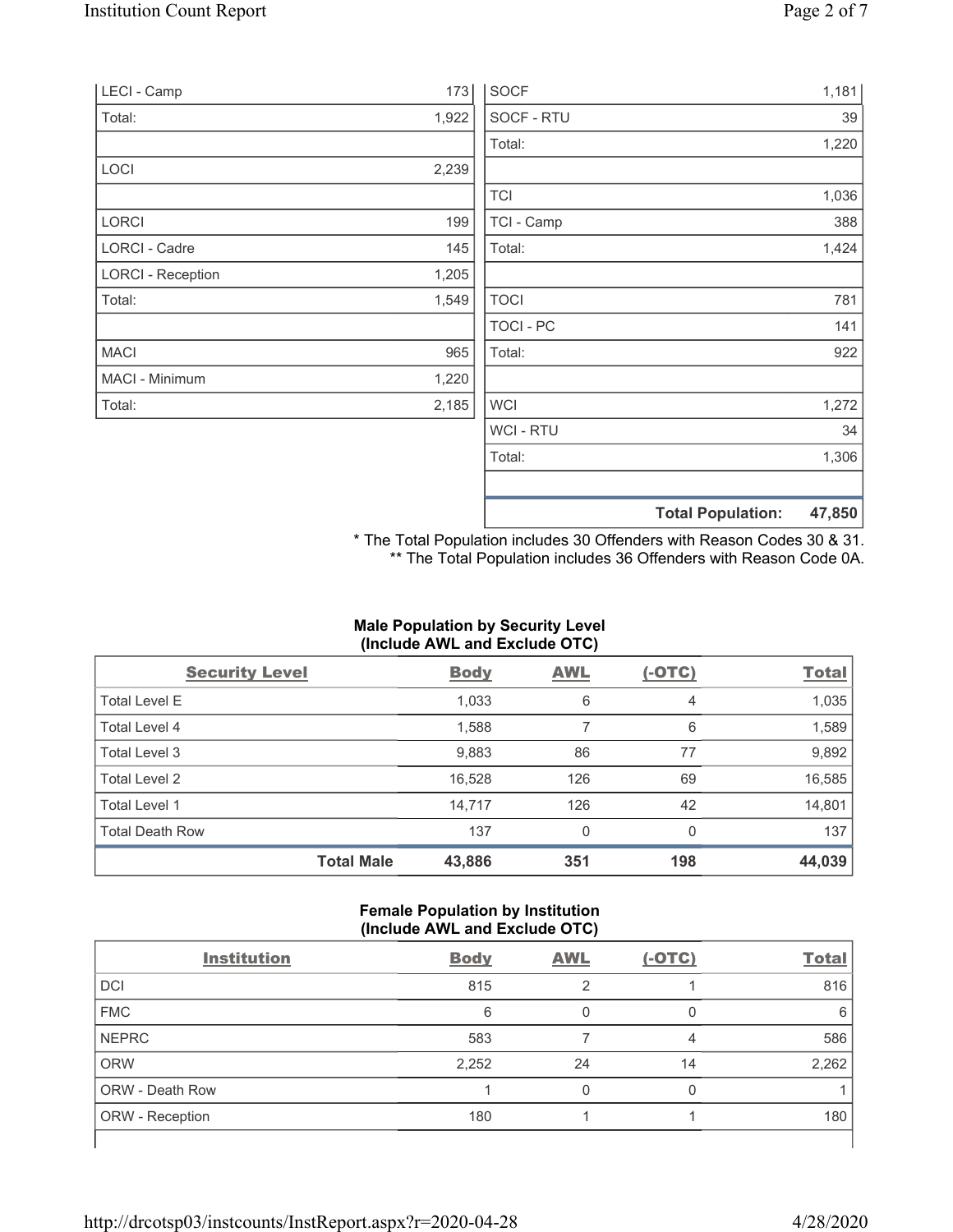| LECI - Camp              | 173   | <b>SOCF</b>    |                          | 1,181  |
|--------------------------|-------|----------------|--------------------------|--------|
| Total:                   | 1,922 | SOCF - RTU     |                          | 39     |
|                          |       | Total:         |                          | 1,220  |
| LOCI                     | 2,239 |                |                          |        |
|                          |       | <b>TCI</b>     |                          | 1,036  |
| LORCI                    | 199   | TCI - Camp     |                          | 388    |
| LORCI - Cadre            | 145   | Total:         |                          | 1,424  |
| <b>LORCI - Reception</b> | 1,205 |                |                          |        |
| Total:                   | 1,549 | <b>TOCI</b>    |                          | 781    |
|                          |       | TOCI - PC      |                          | 141    |
| <b>MACI</b>              | 965   | Total:         |                          | 922    |
| MACI - Minimum           | 1,220 |                |                          |        |
| Total:                   | 2,185 | <b>WCI</b>     |                          | 1,272  |
|                          |       | <b>WCI-RTU</b> |                          | 34     |
|                          |       | Total:         |                          | 1,306  |
|                          |       |                | <b>Total Population:</b> | 47,850 |

\* The Total Population includes 30 Offenders with Reason Codes 30 & 31. \*\* The Total Population includes 36 Offenders with Reason Code 0A.

## **Male Population by Security Level (Include AWL and Exclude OTC)**

| <b>Security Level</b>  |                   | <b>Body</b> | <b>AWL</b> | $(-OTC)$ | <b>Total</b> |
|------------------------|-------------------|-------------|------------|----------|--------------|
| <b>Total Level E</b>   |                   | 1,033       | 6          | 4        | 1,035        |
| Total Level 4          |                   | 1,588       |            | 6        | 1,589        |
| Total Level 3          |                   | 9,883       | 86         | 77       | 9,892        |
| Total Level 2          |                   | 16,528      | 126        | 69       | 16,585       |
| Total Level 1          |                   | 14,717      | 126        | 42       | 14,801       |
| <b>Total Death Row</b> |                   | 137         | 0          | $\Omega$ | 137          |
|                        | <b>Total Male</b> | 43,886      | 351        | 198      | 44,039       |

## **Female Population by Institution (Include AWL and Exclude OTC)**

| <b>Institution</b>     | <b>Body</b> | <b>AWL</b> | $(-OTC)$ | <b>Total</b> |
|------------------------|-------------|------------|----------|--------------|
| <b>DCI</b>             | 815         | 2          |          | 816          |
| <b>FMC</b>             | 6           |            |          | 6            |
| <b>NEPRC</b>           | 583         |            | 4        | 586          |
| <b>ORW</b>             | 2,252       | 24         | 14       | 2,262        |
| <b>ORW - Death Row</b> |             |            |          |              |
| ORW - Reception        | 180         |            |          | 180          |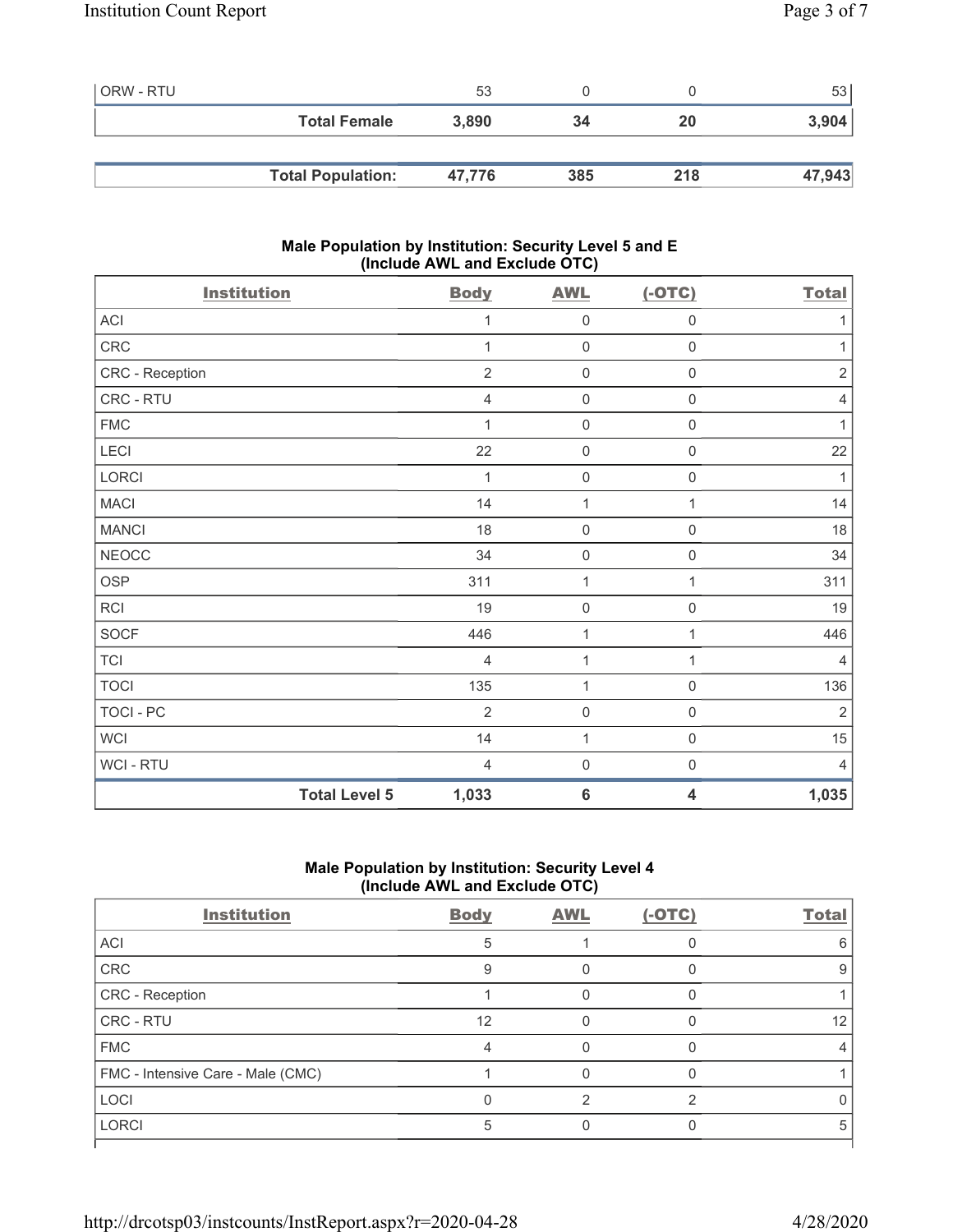| <b>ORW - RTU</b> |                          | 53     |     |     | 531    |
|------------------|--------------------------|--------|-----|-----|--------|
|                  | <b>Total Female</b>      | 3,890  | 34  | 20  | 3,904  |
|                  |                          |        |     |     |        |
|                  | <b>Total Population:</b> | 47.776 | 385 | 218 | 47,943 |

## **Male Population by Institution: Security Level 5 and E (Include AWL and Exclude OTC)**

| <b>Institution</b> | <b>Body</b>                   | <b>AWL</b>       | $(-OTC)$                | <b>Total</b>   |
|--------------------|-------------------------------|------------------|-------------------------|----------------|
| ACI                | 1                             | $\mathbf 0$      | $\mathsf{O}\xspace$     | 1              |
| CRC                | $\mathbf{1}$                  | $\mathbf 0$      | $\mathbf 0$             | 1              |
| CRC - Reception    | $\overline{2}$                | $\mathbf 0$      | $\boldsymbol{0}$        | $\sqrt{2}$     |
| CRC - RTU          | $\overline{4}$                | $\mathbf 0$      | $\boldsymbol{0}$        | $\overline{4}$ |
| <b>FMC</b>         | $\mathbf{1}$                  | $\boldsymbol{0}$ | $\mathbf 0$             | 1              |
| LECI               | 22                            | $\mathbf 0$      | $\mathbf 0$             | 22             |
| LORCI              | 1                             | $\mathbf 0$      | $\boldsymbol{0}$        | 1              |
| MACI               | 14                            | 1                | 1                       | 14             |
| <b>MANCI</b>       | 18                            | $\mathbf 0$      | $\boldsymbol{0}$        | 18             |
| <b>NEOCC</b>       | 34                            | $\mathbf 0$      | $\boldsymbol{0}$        | 34             |
| <b>OSP</b>         | 311                           | 1                | 1                       | 311            |
| <b>RCI</b>         | 19                            | $\mathbf 0$      | $\mathbf 0$             | 19             |
| <b>SOCF</b>        | 446                           | 1                | 1                       | 446            |
| <b>TCI</b>         | $\overline{4}$                | $\mathbf{1}$     | 1                       | $\overline{4}$ |
| <b>TOCI</b>        | 135                           | $\mathbf{1}$     | $\boldsymbol{0}$        | 136            |
| <b>TOCI - PC</b>   | $\overline{2}$                | $\mathbf 0$      | $\mathsf{O}\xspace$     | $\sqrt{2}$     |
| <b>WCI</b>         | 14                            | $\mathbf{1}$     | $\mathsf 0$             | 15             |
| WCI - RTU          | $\overline{4}$                | $\boldsymbol{0}$ | $\boldsymbol{0}$        | $\overline{4}$ |
|                    | <b>Total Level 5</b><br>1,033 | $6\phantom{1}6$  | $\overline{\mathbf{4}}$ | 1,035          |

## **Male Population by Institution: Security Level 4 (Include AWL and Exclude OTC)**

| <b>Institution</b>                | <b>Body</b> | <b>AWL</b> | $(-OTC)$ | <b>Total</b> |
|-----------------------------------|-------------|------------|----------|--------------|
| ACI                               | 5           |            |          | ิค           |
| CRC                               | 9           |            |          | 9            |
| CRC - Reception                   |             |            |          |              |
| CRC - RTU                         | 12          |            |          | 12           |
| <b>FMC</b>                        |             |            |          |              |
| FMC - Intensive Care - Male (CMC) |             |            |          |              |
| <b>LOCI</b>                       |             | っ          | ⌒        |              |
| <b>LORCI</b>                      |             |            |          | ۰.           |
|                                   |             |            |          |              |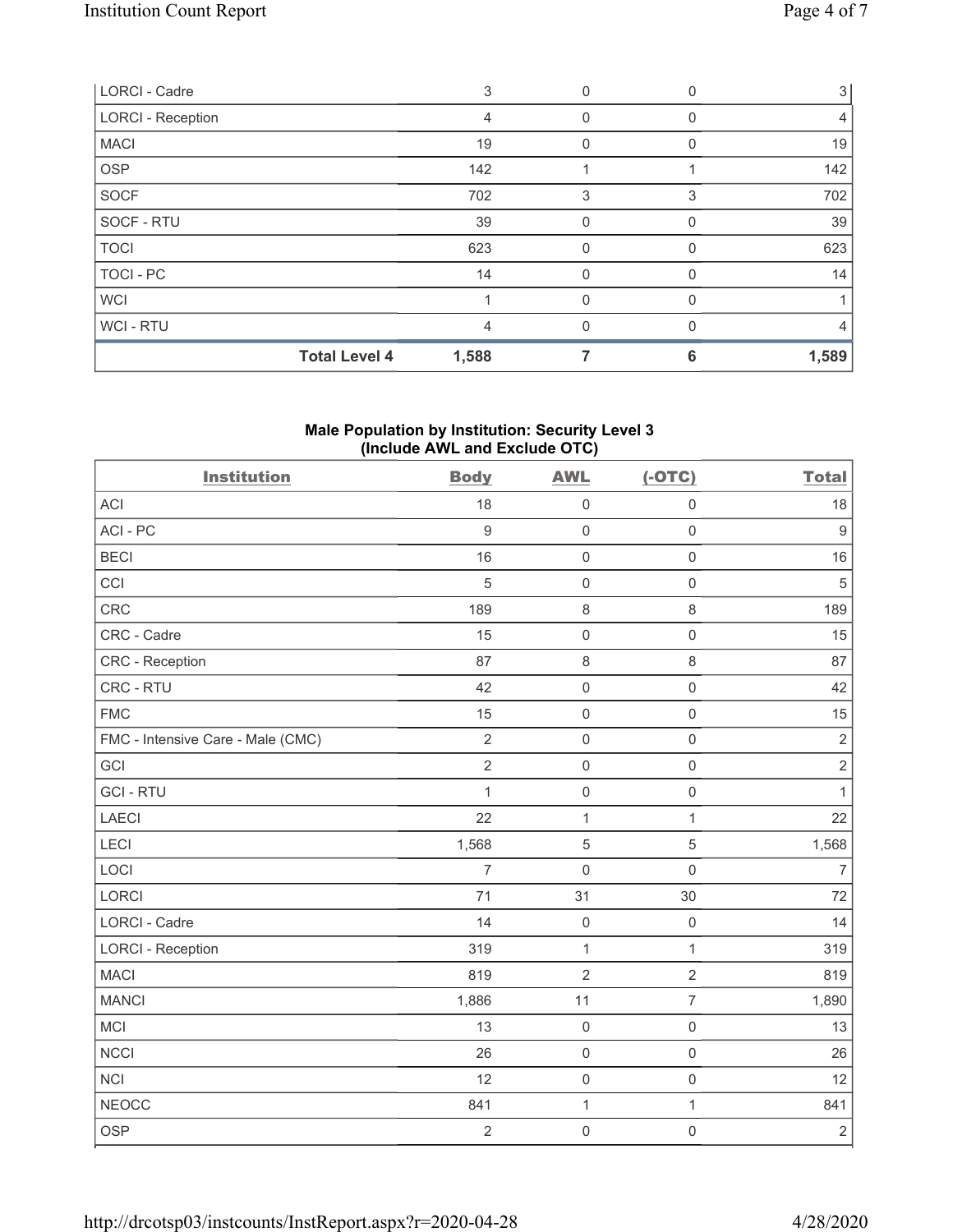| <b>Total Level 4</b>     | 1,588 |          | 6 | 1,589 |
|--------------------------|-------|----------|---|-------|
| WCI - RTU                | 4     |          |   | 4     |
| <b>WCI</b>               |       | 0        |   |       |
| TOCI - PC                | 14    | $\Omega$ | 0 | 14    |
| <b>TOCI</b>              | 623   | 0        |   | 623   |
| SOCF - RTU               | 39    | 0        | U | 39    |
| <b>SOCF</b>              | 702   | 3        | 3 | 702   |
| <b>OSP</b>               | 142   |          |   | 142   |
| <b>MACI</b>              | 19    | 0        | 0 | 19    |
| <b>LORCI - Reception</b> | 4     | 0        |   | 4     |
| LORCI - Cadre            | 3     | 0        |   | 3     |

## **Male Population by Institution: Security Level 3 (Include AWL and Exclude OTC)**

| <b>Institution</b>                | <b>Body</b>      | <b>AWL</b>          | $(-OTC)$            | <b>Total</b>     |
|-----------------------------------|------------------|---------------------|---------------------|------------------|
| <b>ACI</b>                        | 18               | $\mathbf 0$         | $\mathsf{O}\xspace$ | 18               |
| ACI-PC                            | $\boldsymbol{9}$ | $\mathbf 0$         | $\mathsf{O}\xspace$ | $\boldsymbol{9}$ |
| <b>BECI</b>                       | 16               | $\mathbf 0$         | $\mathsf 0$         | 16               |
| CCI                               | 5                | $\mathsf{O}\xspace$ | $\mathsf{O}\xspace$ | $\sqrt{5}$       |
| CRC                               | 189              | $\,8\,$             | $\,8\,$             | 189              |
| CRC - Cadre                       | 15               | $\mathsf{O}\xspace$ | $\mathbf 0$         | 15               |
| CRC - Reception                   | 87               | 8                   | $\,8\,$             | 87               |
| CRC - RTU                         | 42               | $\mathbf 0$         | $\mathsf{O}\xspace$ | 42               |
| <b>FMC</b>                        | 15               | $\mathsf{O}\xspace$ | $\mathsf{O}\xspace$ | 15               |
| FMC - Intensive Care - Male (CMC) | $\overline{2}$   | $\mathbf 0$         | $\mathbf 0$         | $\sqrt{2}$       |
| GCI                               | $\overline{2}$   | $\mathsf{O}\xspace$ | $\mathsf{O}\xspace$ | $\sqrt{2}$       |
| <b>GCI-RTU</b>                    | $\mathbf{1}$     | $\mathbf 0$         | $\mathsf{O}\xspace$ | 1                |
| <b>LAECI</b>                      | 22               | $\mathbf{1}$        | 1                   | 22               |
| LECI                              | 1,568            | 5                   | $\sqrt{5}$          | 1,568            |
| LOCI                              | $\overline{7}$   | $\mathbf 0$         | $\mathsf{O}\xspace$ | $\overline{7}$   |
| LORCI                             | 71               | 31                  | 30                  | 72               |
| <b>LORCI - Cadre</b>              | 14               | $\mathbf 0$         | $\mathbf 0$         | 14               |
| <b>LORCI - Reception</b>          | 319              | 1                   | $\mathbf{1}$        | 319              |
| <b>MACI</b>                       | 819              | $\overline{2}$      | $\overline{2}$      | 819              |
| <b>MANCI</b>                      | 1,886            | 11                  | $\overline{7}$      | 1,890            |
| MCI                               | 13               | $\mathsf{O}\xspace$ | $\mathsf{O}\xspace$ | 13               |
| <b>NCCI</b>                       | 26               | $\mathbf 0$         | $\mathsf{O}\xspace$ | 26               |
| <b>NCI</b>                        | 12               | $\mathsf{O}$        | $\mathsf{O}\xspace$ | 12               |
| <b>NEOCC</b>                      | 841              | $\mathbf 1$         | $\mathbf{1}$        | 841              |
| <b>OSP</b>                        | $\overline{2}$   | $\mathsf{O}\xspace$ | $\mathsf 0$         | $\sqrt{2}$       |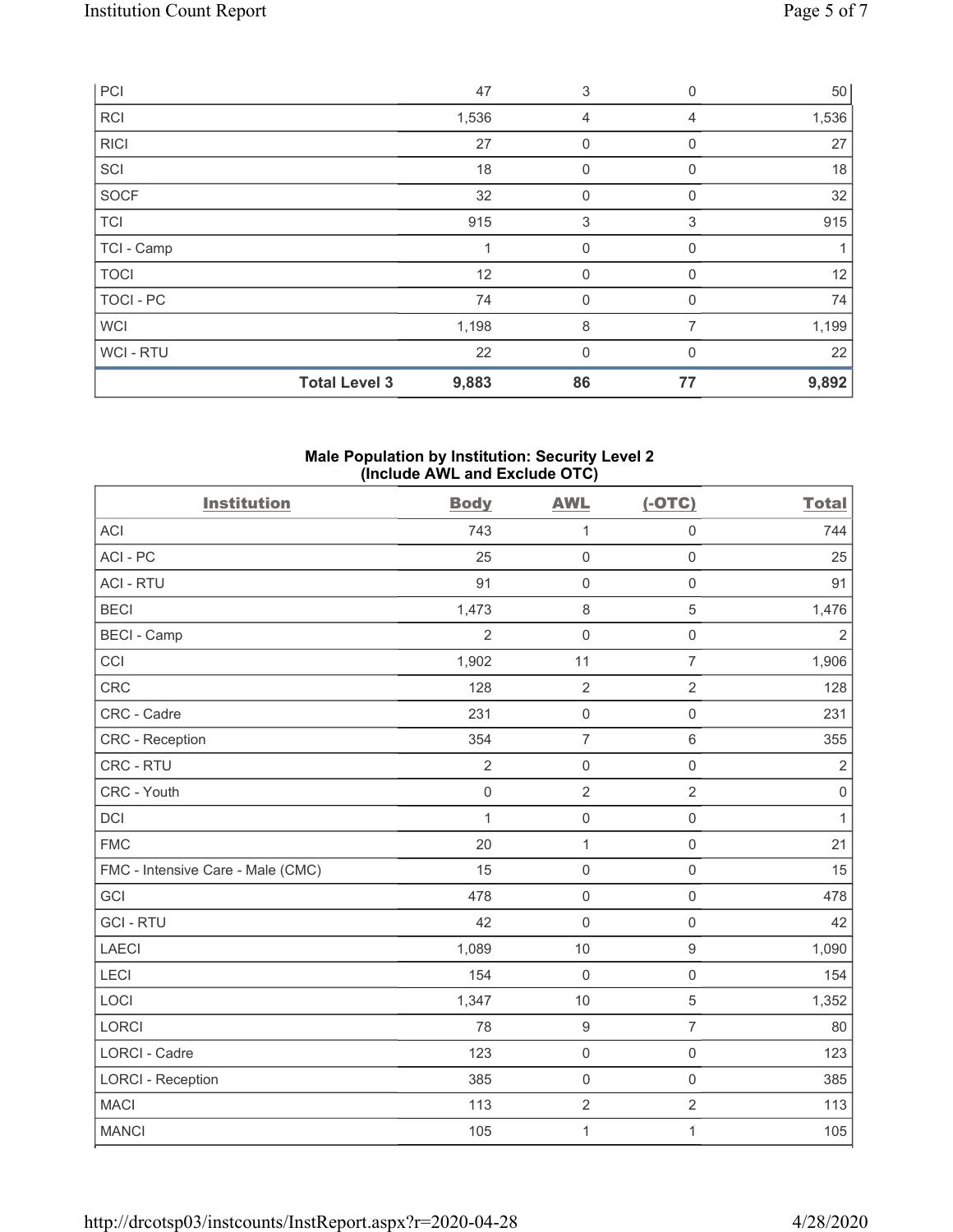| PCI              |                      | 47    | 3            | 0        | 50    |
|------------------|----------------------|-------|--------------|----------|-------|
| <b>RCI</b>       |                      | 1,536 | 4            | 4        | 1,536 |
| <b>RICI</b>      |                      | 27    | $\mathbf{0}$ | $\Omega$ | 27    |
| SCI              |                      | 18    | $\mathbf 0$  | $\Omega$ | 18    |
| SOCF             |                      | 32    | $\mathbf{0}$ | $\Omega$ | 32    |
| <b>TCI</b>       |                      | 915   | 3            | 3        | 915   |
| TCI - Camp       |                      |       | $\mathbf{0}$ | 0        |       |
| <b>TOCI</b>      |                      | 12    | $\mathbf 0$  | 0        | 12    |
| <b>TOCI - PC</b> |                      | 74    | $\mathbf{0}$ | 0        | 74    |
| <b>WCI</b>       |                      | 1,198 | 8            | 7        | 1,199 |
| WCI-RTU          |                      | 22    | $\mathbf{0}$ | $\Omega$ | 22    |
|                  | <b>Total Level 3</b> | 9,883 | 86           | 77       | 9,892 |

#### **Male Population by Institution: Security Level 2 (Include AWL and Exclude OTC)**

| <b>Institution</b>                | <b>Body</b>    | <b>AWL</b>          | $(-OTC)$            | <b>Total</b>   |
|-----------------------------------|----------------|---------------------|---------------------|----------------|
| <b>ACI</b>                        | 743            | 1                   | $\mathsf{O}\xspace$ | 744            |
| ACI-PC                            | 25             | $\mathsf{O}\xspace$ | $\mathsf{O}\xspace$ | 25             |
| <b>ACI - RTU</b>                  | 91             | $\mathbf 0$         | $\mathsf 0$         | 91             |
| <b>BECI</b>                       | 1,473          | $\,8\,$             | 5                   | 1,476          |
| <b>BECI - Camp</b>                | $\overline{2}$ | $\mathbf 0$         | $\mathsf{O}\xspace$ | $\overline{2}$ |
| CCI                               | 1,902          | 11                  | $\overline{7}$      | 1,906          |
| <b>CRC</b>                        | 128            | $\overline{2}$      | $\overline{2}$      | 128            |
| CRC - Cadre                       | 231            | $\mathsf 0$         | $\mathbf 0$         | 231            |
| <b>CRC</b> - Reception            | 354            | $\overline{7}$      | $6\,$               | 355            |
| CRC - RTU                         | $\overline{2}$ | $\mathsf 0$         | $\mathsf{O}\xspace$ | $\sqrt{2}$     |
| CRC - Youth                       | $\mathbf 0$    | $\overline{2}$      | $\overline{2}$      | $\mathbf 0$    |
| <b>DCI</b>                        | $\mathbf{1}$   | $\mathsf 0$         | $\mathsf{O}\xspace$ | $\mathbf{1}$   |
| <b>FMC</b>                        | 20             | $\mathbf{1}$        | $\mathsf{O}\xspace$ | 21             |
| FMC - Intensive Care - Male (CMC) | 15             | $\mathsf 0$         | $\mathsf{O}\xspace$ | 15             |
| GCI                               | 478            | $\mathsf 0$         | $\mathsf{O}\xspace$ | 478            |
| <b>GCI-RTU</b>                    | 42             | $\mathsf 0$         | $\mathsf{O}\xspace$ | 42             |
| <b>LAECI</b>                      | 1,089          | 10                  | 9                   | 1,090          |
| LECI                              | 154            | $\mathbf 0$         | $\mathsf{O}\xspace$ | 154            |
| LOCI                              | 1,347          | $10$                | 5                   | 1,352          |
| <b>LORCI</b>                      | 78             | $\boldsymbol{9}$    | $\overline{7}$      | 80             |
| <b>LORCI - Cadre</b>              | 123            | $\mathsf 0$         | $\mathsf 0$         | 123            |
| <b>LORCI - Reception</b>          | 385            | $\mathsf 0$         | $\mathsf{O}\xspace$ | 385            |
| <b>MACI</b>                       | 113            | $\sqrt{2}$          | $\overline{c}$      | 113            |
| <b>MANCI</b>                      | 105            | $\mathbf 1$         | $\mathbf{1}$        | 105            |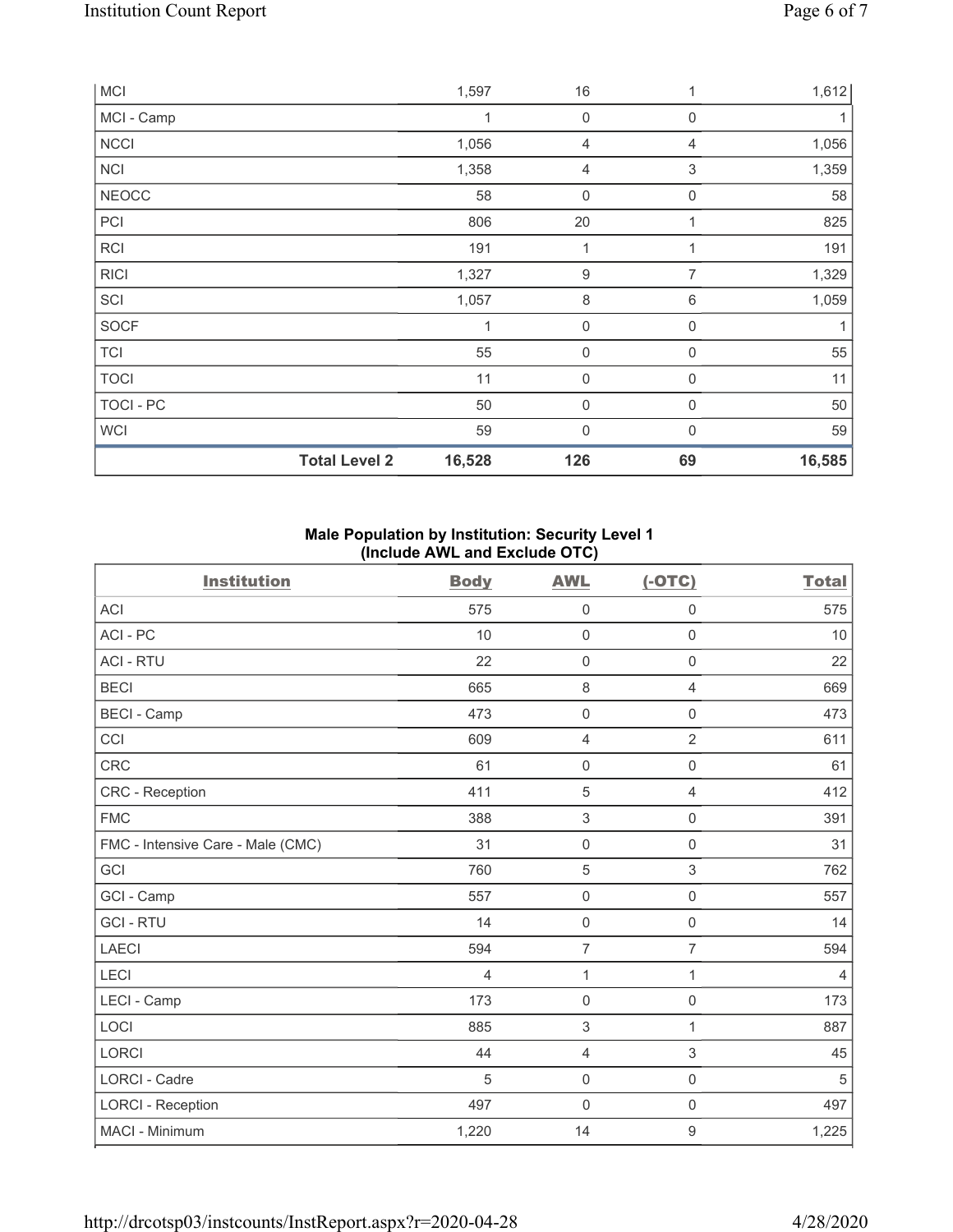| MCI          |                      | 1,597  | 16               |             | 1,612  |
|--------------|----------------------|--------|------------------|-------------|--------|
| MCI - Camp   |                      | 1      | $\boldsymbol{0}$ | 0           |        |
| <b>NCCI</b>  |                      | 1,056  | 4                | 4           | 1,056  |
| <b>NCI</b>   |                      | 1,358  | 4                | 3           | 1,359  |
| <b>NEOCC</b> |                      | 58     | 0                | $\mathbf 0$ | 58     |
| PCI          |                      | 806    | 20               | 1           | 825    |
| <b>RCI</b>   |                      | 191    | 1                |             | 191    |
| <b>RICI</b>  |                      | 1,327  | $\boldsymbol{9}$ | 7           | 1,329  |
| SCI          |                      | 1,057  | $\,8\,$          | 6           | 1,059  |
| SOCF         |                      | 1      | $\boldsymbol{0}$ | $\mathbf 0$ |        |
| <b>TCI</b>   |                      | 55     | 0                | $\mathbf 0$ | 55     |
| <b>TOCI</b>  |                      | 11     | 0                | $\mathbf 0$ | 11     |
| TOCI - PC    |                      | 50     | 0                | 0           | 50     |
| WCI          |                      | 59     | 0                | $\Omega$    | 59     |
|              | <b>Total Level 2</b> | 16,528 | 126              | 69          | 16,585 |

#### **Male Population by Institution: Security Level 1 (Include AWL and Exclude OTC)**

| <b>Institution</b>                | <b>Body</b> | <b>AWL</b>          | $(-OTC)$       | <b>Total</b>   |
|-----------------------------------|-------------|---------------------|----------------|----------------|
| <b>ACI</b>                        | 575         | $\mathbf 0$         | $\mathbf 0$    | 575            |
| ACI-PC                            | 10          | $\mathbf 0$         | $\mathsf 0$    | 10             |
| <b>ACI - RTU</b>                  | 22          | $\mathsf{O}\xspace$ | $\mathbf 0$    | 22             |
| <b>BECI</b>                       | 665         | $\,8\,$             | $\overline{4}$ | 669            |
| <b>BECI - Camp</b>                | 473         | $\mathsf{O}\xspace$ | $\mathsf 0$    | 473            |
| CCI                               | 609         | $\overline{4}$      | $\overline{2}$ | 611            |
| <b>CRC</b>                        | 61          | $\mathsf{O}\xspace$ | $\mathsf 0$    | 61             |
| <b>CRC</b> - Reception            | 411         | $\sqrt{5}$          | $\overline{4}$ | 412            |
| <b>FMC</b>                        | 388         | 3                   | $\mathsf 0$    | 391            |
| FMC - Intensive Care - Male (CMC) | 31          | $\mathbf 0$         | $\mathsf 0$    | 31             |
| GCI                               | 760         | 5                   | 3              | 762            |
| GCI - Camp                        | 557         | $\mathsf{O}\xspace$ | $\mathsf 0$    | 557            |
| <b>GCI-RTU</b>                    | 14          | $\mathbf 0$         | $\mathsf 0$    | 14             |
| <b>LAECI</b>                      | 594         | $\overline{7}$      | $\overline{7}$ | 594            |
| LECI                              | 4           | 1                   | 1              | $\overline{4}$ |
| LECI - Camp                       | 173         | $\mathbf 0$         | $\mathbf 0$    | 173            |
| LOCI                              | 885         | 3                   | $\mathbf{1}$   | 887            |
| <b>LORCI</b>                      | 44          | $\overline{4}$      | 3              | 45             |
| <b>LORCI - Cadre</b>              | 5           | $\mathbf 0$         | $\mathbf 0$    | 5              |
| <b>LORCI - Reception</b>          | 497         | $\mathsf{O}\xspace$ | $\mathbf 0$    | 497            |
| MACI - Minimum                    | 1,220       | 14                  | $\mathsf g$    | 1,225          |